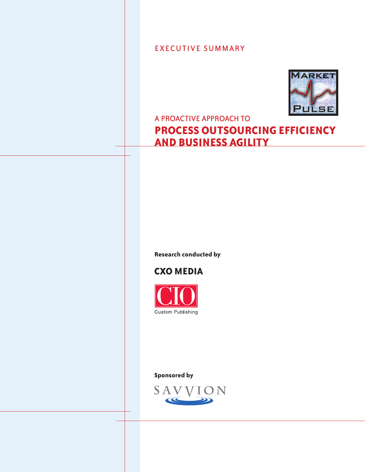EXECUTIVE SUMMARY



## A PROACTIVE APPROACH TO

# **PROCESS OUTSOURCING EFFICIENCY AND BUSINESS AGILITY**

**Research conducted by**

# **CXO MEDIA**



**Sponsored by**

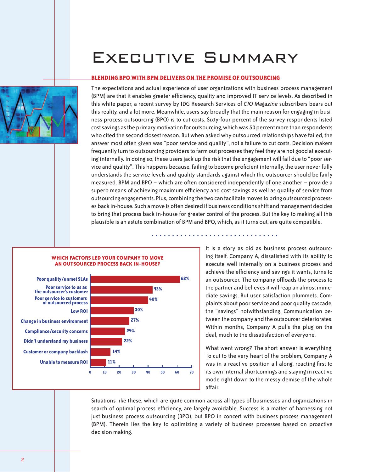# Executive Summary

#### **BLENDING BPO WITH BPM DELIVERS ON THE PROMISE OF OUTSOURCING**



The expectations and actual experience of user organizations with business process management (BPM) are that it enables greater efficiency, quality and improved IT service levels. As described in this white paper, a recent survey by IDG Research Services of *CIO Magazine* subscribers bears out this reality, and a lot more. Meanwhile, users say broadly that the main reason for engaging in business process outsourcing (BPO) is to cut costs. Sixty-four percent of the survey respondents listed cost savings as the primary motivation for outsourcing, which was 50 percent more than respondents who cited the second closest reason. But when asked why outsourced relationships have failed, the answer most often given was "poor service and quality", not a failure to cut costs. Decision makers frequently turn to outsourcing providers to farm out processes they feel they are not good at executing internally. In doing so, these users jack up the risk that the engagement will fail due to "poor service and quality". This happens because, failing to become proficient internally, the user never fully understands the service levels and quality standards against which the outsourcer should be fairly measured. BPM and BPO – which are often considered independently of one another – provide a superb means of achieving maximum efficiency and cost savings as well as quality of service from outsourcing engagements. Plus, combining the two can facilitate moves to bring outsourced processes back in-house. Such a move is often desired if business conditions shift and management decides to bring that process back in-house for greater control of the process. But the key to making all this plausible is an astute combination of BPM and BPO, which, as it turns out, are quite compatible.

ß ß ß ß ß ß ß ß ß ß ß ß ß ß ß ß ß ß ß ß ß ß ß ß ß ß ß ß ß ß ß



#### **WHICH FACTORS LED YOUR COMPANY TO MOVE AN OUTSOURCED PROCESS BACK IN-HOUSE?**

**Poor quality/unmet SLAs biggest factor behind decision to move outsourced process back in house**

It is a story as old as business process outsourcing itself. Company A, dissatisfied with its ability to execute well internally on a business process and achieve the efficiency and savings it wants, turns to an outsourcer. The company offloads the process to the partner and believes it will reap an almost immediate savings. But user satisfaction plummets. Complaints about poor service and poor quality cascade, the "savings" notwithstanding. Communication between the company and the outsourcer deteriorates. Within months, Company A pulls the plug on the deal, much to the dissatisfaction of everyone.

What went wrong? The short answer is everything. To cut to the very heart of the problem, Company A was in a reactive position all along, reacting first to its own internal shortcomings and staying in reactive mode right down to the messy demise of the whole affair.

Situations like these, which are quite common across all types of businesses and organizations in search of optimal process efficiency, are largely avoidable. Success is a matter of harnessing not just business process outsourcing (BPO), but BPO in concert with business process management (BPM). Therein lies the key to optimizing a variety of business processes based on proactive decision making.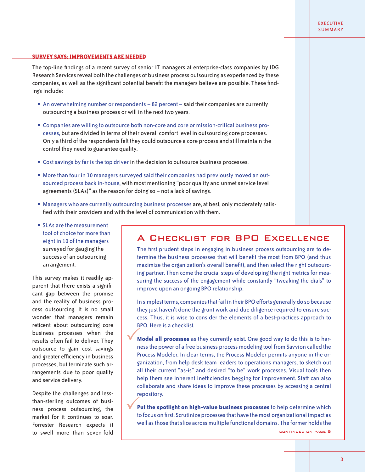#### EXECUTIVE **SUMMARY**

#### **SURVEY SAYS: IMPROVEMENTS ARE NEEDED**

The top-line findings of a recent survey of senior IT managers at enterprise-class companies by IDG Research Services reveal both the challenges of business process outsourcing as experienced by these companies, as well as the significant potential benefit the managers believe are possible. These findings include:

- **An overwhelming number or respondents 82 percent said their companies are currently** outsourcing a business process or will in the next two years.
- ß Companies are willing to outsource both non-core and core or mission-critical business processes, but are divided in terms of their overall comfort level in outsourcing core processes. Only a third of the respondents felt they could outsource a core process and still maintain the control they need to guarantee quality.
- **Cost savings by far is the top driver in the decision to outsource business processes.**
- **More than four in 10 managers surveyed said their companies had previously moved an out**sourced process back in-house, with most mentioning "poor quality and unmet service level agreements (SLAs)" as the reason for doing so – not a lack of savings.
- **Heta** Managers who are currently outsourcing business processes are, at best, only moderately satisfied with their providers and with the level of communication with them.
- **SLAs are the measurement** tool of choice for more than eight in 10 of the managers surveyed for gauging the success of an outsourcing arrangement.

This survey makes it readily apparent that there exists a significant gap between the promise and the reality of business process outsourcing. It is no small wonder that managers remain reticent about outsourcing core business processes when the results often fail to deliver. They outsource to gain cost savings and greater efficiency in business processes, but terminate such arrangements due to poor quality and service delivery.

Despite the challenges and lessthan-sterling outcomes of business process outsourcing, the market for it continues to soar. Forrester Research expects it to swell more than seven-fold

### A Checklist for BPO Excellence

The first prudent steps in engaging in business process outsourcing are to determine the business processes that will benefit the most from BPO (and thus maximize the organization's overall benefit), and then select the right outsourcing partner. Then come the crucial steps of developing the right metrics for measuring the success of the engagement while constantly "tweaking the dials" to improve upon an ongoing BPO relationship.

In simplest terms, companies that fail in their BPO efforts generally do so because they just haven't done the grunt work and due diligence required to ensure success. Thus, it is wise to consider the elements of a best-practices approach to BPO. Here is a checklist.

**Model all processes** as they currently exist. One good way to do this is to harness the power of a free business process modeling tool from Savvion called the Process Modeler. In clear terms, the Process Modeler permits anyone in the organization, from help desk team leaders to operations managers, to sketch out all their current "as-is" and desired "to be" work processes. Visual tools then help them see inherent inefficiencies begging for improvement. Staff can also collaborate and share ideas to improve these processes by accessing a central repository.  $\frac{1}{2}$ 

**Put the spotlight on high-value business processes** to help determine which to focus on first. Scrutinize processes that have the most organizational impact as well as those that slice across multiple functional domains. The former holds the  $\sqrt{\frac{P}{P}}$ continued on page 5

 $\overline{3}$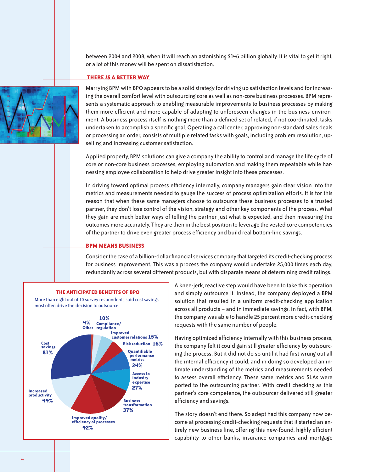between 2004 and 2008, when it will reach an astonishing \$146 billion globally. It is vital to get it right, or a lot of this money will be spent on dissatisfaction.

#### **THERE** *IS* **A BETTER WAY**



Marrying BPM with BPO appears to be a solid strategy for driving up satisfaction levels and for increasing the overall comfort level with outsourcing core as well as non-core business processes. BPM represents a systematic approach to enabling measurable improvements to business processes by making them more efficient and more capable of adapting to unforeseen changes in the business environment. A business process itself is nothing more than a defined set of related, if not coordinated, tasks undertaken to accomplish a specific goal. Operating a call center, approving non-standard sales deals or processing an order, consists of multiple related tasks with goals, including problem resolution, upselling and increasing customer satisfaction.

Applied properly, BPM solutions can give a company the ability to control and manage the life cycle of core or non-core business processes, employing automation and making them repeatable while harnessing employee collaboration to help drive greater insight into these processes.

In driving toward optimal process efficiency internally, company managers gain clear vision into the metrics and measurements needed to gauge the success of process optimization efforts. It is for this reason that when these same managers choose to outsource these business processes to a trusted partner, they don't lose control of the vision, strategy and other key components of the process. What they gain are much better ways of telling the partner just what is expected, and then measuring the outcomes more accurately. They are then in the best position to leverage the vested core competencies of the partner to drive even greater process efficiency and build real bottom-line savings.

#### **BPM MEANS BUSINESS**

Consider the case of a billion-dollar financial services company that targeted its credit-checking process for business improvement. This was a process the company would undertake 25,000 times each day, redundantly across several different products, but with disparate means of determining credit ratings.



#### **THE ANTICIPATED BENEFITS OF BPO**

More than eight out of 10 survey respondents said cost savings most often drive the decision to outsource.

A knee-jerk, reactive step would have been to take this operation and simply outsource it. Instead, the company deployed a BPM solution that resulted in a uniform credit-checking application across all products – and in immediate savings. In fact, with BPM, the company was able to handle 25 percent more credit-checking requests with the same number of people.

Having optimized efficiency internally with this business process, the company felt it could gain still greater efficiency by outsourcing the process. But it did not do so until it had first wrung out all the internal efficiency it could, and in doing so developed an intimate understanding of the metrics and measurements needed to assess overall efficiency. These same metrics and SLAs were ported to the outsourcing partner. With credit checking as this partner's core competence, the outsourcer delivered still greater efficiency and savings.

The story doesn't end there. So adept had this company now become at processing credit-checking requests that it started an entirely new business line, offering this new-found, highly efficient capability to other banks, insurance companies and mortgage